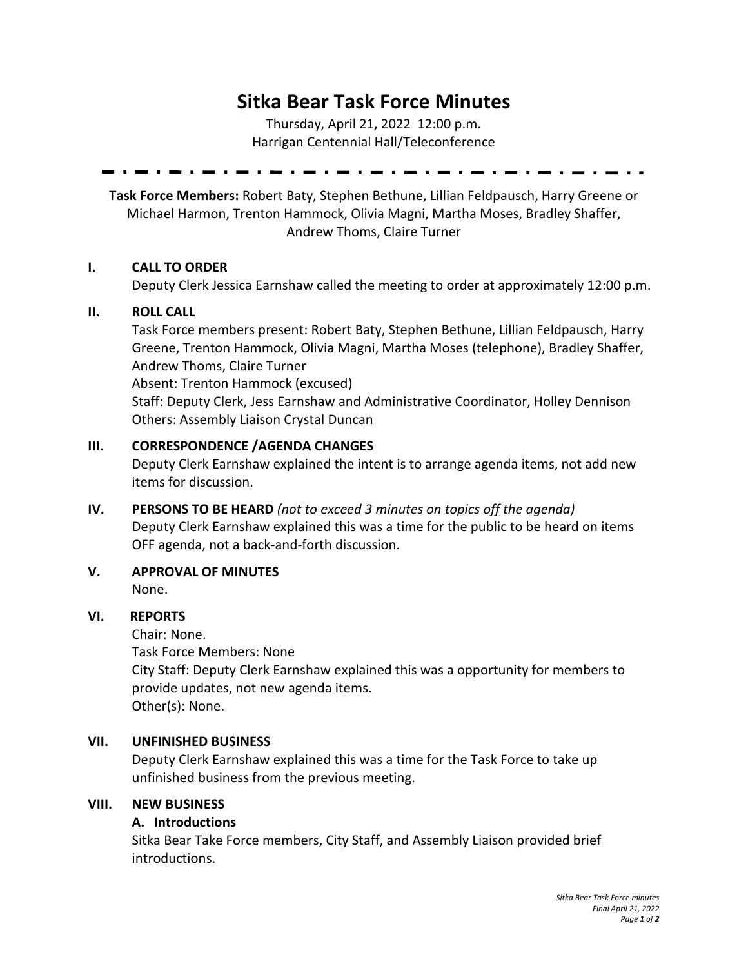# **Sitka Bear Task Force Minutes**

Thursday, April 21, 2022 12:00 p.m. Harrigan Centennial Hall/Teleconference

**Task Force Members:** Robert Baty, Stephen Bethune, Lillian Feldpausch, Harry Greene or Michael Harmon, Trenton Hammock, Olivia Magni, Martha Moses, Bradley Shaffer, Andrew Thoms, Claire Turner

#### **I. CALL TO ORDER**

Deputy Clerk Jessica Earnshaw called the meeting to order at approximately 12:00 p.m.

#### **II. ROLL CALL**

Task Force members present: Robert Baty, Stephen Bethune, Lillian Feldpausch, Harry Greene, Trenton Hammock, Olivia Magni, Martha Moses (telephone), Bradley Shaffer, Andrew Thoms, Claire Turner Absent: Trenton Hammock (excused) Staff: Deputy Clerk, Jess Earnshaw and Administrative Coordinator, Holley Dennison Others: Assembly Liaison Crystal Duncan

## **III. CORRESPONDENCE /AGENDA CHANGES**

Deputy Clerk Earnshaw explained the intent is to arrange agenda items, not add new items for discussion.

- **IV. PERSONS TO BE HEARD** *(not to exceed 3 minutes on topics off the agenda)* Deputy Clerk Earnshaw explained this was a time for the public to be heard on items OFF agenda, not a back-and-forth discussion.
- **V. APPROVAL OF MINUTES** None.

## **VI. REPORTS**

Chair: None. Task Force Members: None City Staff: Deputy Clerk Earnshaw explained this was a opportunity for members to provide updates, not new agenda items. Other(s): None.

## **VII. UNFINISHED BUSINESS**

Deputy Clerk Earnshaw explained this was a time for the Task Force to take up unfinished business from the previous meeting.

#### **VIII. NEW BUSINESS**

## **A. Introductions**

Sitka Bear Take Force members, City Staff, and Assembly Liaison provided brief introductions.